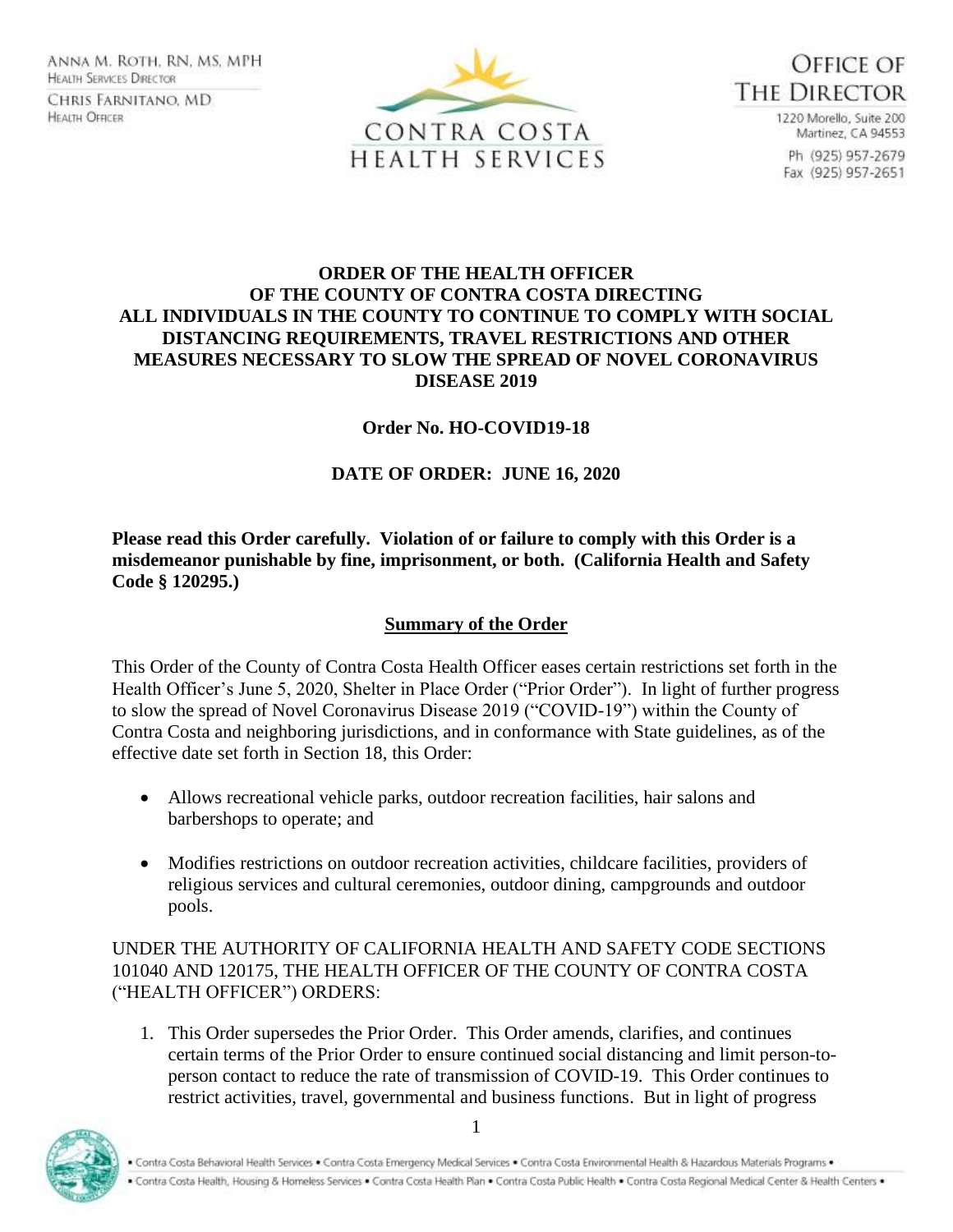Anna M. Roth, RN, MS, MPH **HEALTH SERVICES DIRECTOR** CHRIS FARNITANO, MD **HEALTH OFFICER** 





1220 Morello, Suite 200 Martinez, CA 94553 Ph (925) 957-2679 Fax (925) 957-2651

### **ORDER OF THE HEALTH OFFICER OF THE COUNTY OF CONTRA COSTA DIRECTING ALL INDIVIDUALS IN THE COUNTY TO CONTINUE TO COMPLY WITH SOCIAL DISTANCING REQUIREMENTS, TRAVEL RESTRICTIONS AND OTHER MEASURES NECESSARY TO SLOW THE SPREAD OF NOVEL CORONAVIRUS DISEASE 2019**

## **Order No. HO-COVID19-18**

# **DATE OF ORDER: JUNE 16, 2020**

**Please read this Order carefully. Violation of or failure to comply with this Order is a misdemeanor punishable by fine, imprisonment, or both. (California Health and Safety Code § 120295.)**

## **Summary of the Order**

This Order of the County of Contra Costa Health Officer eases certain restrictions set forth in the Health Officer's June 5, 2020, Shelter in Place Order ("Prior Order"). In light of further progress to slow the spread of Novel Coronavirus Disease 2019 ("COVID-19") within the County of Contra Costa and neighboring jurisdictions, and in conformance with State guidelines, as of the effective date set forth in Section 18, this Order:

- Allows recreational vehicle parks, outdoor recreation facilities, hair salons and barbershops to operate; and
- Modifies restrictions on outdoor recreation activities, childcare facilities, providers of religious services and cultural ceremonies, outdoor dining, campgrounds and outdoor pools.

UNDER THE AUTHORITY OF CALIFORNIA HEALTH AND SAFETY CODE SECTIONS 101040 AND 120175, THE HEALTH OFFICER OF THE COUNTY OF CONTRA COSTA ("HEALTH OFFICER") ORDERS:

1. This Order supersedes the Prior Order. This Order amends, clarifies, and continues certain terms of the Prior Order to ensure continued social distancing and limit person-toperson contact to reduce the rate of transmission of COVID-19. This Order continues to restrict activities, travel, governmental and business functions. But in light of progress

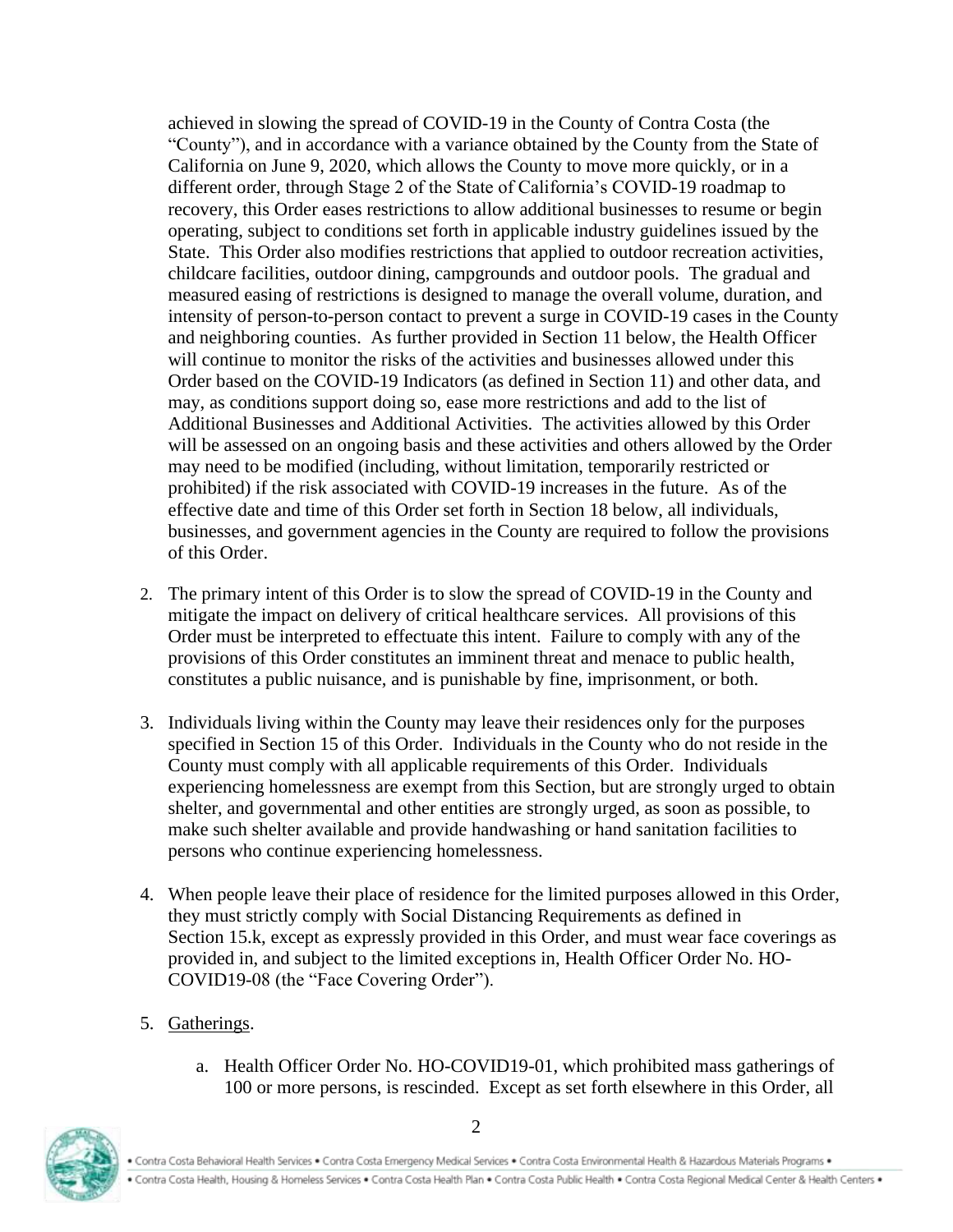achieved in slowing the spread of COVID-19 in the County of Contra Costa (the "County"), and in accordance with a variance obtained by the County from the State of California on June 9, 2020, which allows the County to move more quickly, or in a different order, through Stage 2 of the State of California's COVID-19 roadmap to recovery, this Order eases restrictions to allow additional businesses to resume or begin operating, subject to conditions set forth in applicable industry guidelines issued by the State. This Order also modifies restrictions that applied to outdoor recreation activities, childcare facilities, outdoor dining, campgrounds and outdoor pools. The gradual and measured easing of restrictions is designed to manage the overall volume, duration, and intensity of person-to-person contact to prevent a surge in COVID-19 cases in the County and neighboring counties. As further provided in Section 11 below, the Health Officer will continue to monitor the risks of the activities and businesses allowed under this Order based on the COVID-19 Indicators (as defined in Section 11) and other data, and may, as conditions support doing so, ease more restrictions and add to the list of Additional Businesses and Additional Activities. The activities allowed by this Order will be assessed on an ongoing basis and these activities and others allowed by the Order may need to be modified (including, without limitation, temporarily restricted or prohibited) if the risk associated with COVID-19 increases in the future. As of the effective date and time of this Order set forth in Section 18 below, all individuals, businesses, and government agencies in the County are required to follow the provisions of this Order.

- 2. The primary intent of this Order is to slow the spread of COVID-19 in the County and mitigate the impact on delivery of critical healthcare services. All provisions of this Order must be interpreted to effectuate this intent. Failure to comply with any of the provisions of this Order constitutes an imminent threat and menace to public health, constitutes a public nuisance, and is punishable by fine, imprisonment, or both.
- 3. Individuals living within the County may leave their residences only for the purposes specified in Section 15 of this Order. Individuals in the County who do not reside in the County must comply with all applicable requirements of this Order. Individuals experiencing homelessness are exempt from this Section, but are strongly urged to obtain shelter, and governmental and other entities are strongly urged, as soon as possible, to make such shelter available and provide handwashing or hand sanitation facilities to persons who continue experiencing homelessness.
- 4. When people leave their place of residence for the limited purposes allowed in this Order, they must strictly comply with Social Distancing Requirements as defined in Section 15.k, except as expressly provided in this Order, and must wear face coverings as provided in, and subject to the limited exceptions in, Health Officer Order No. HO-COVID19-08 (the "Face Covering Order").
- 5. Gatherings.
	- a. Health Officer Order No. HO-COVID19-01, which prohibited mass gatherings of 100 or more persons, is rescinded. Except as set forth elsewhere in this Order, all

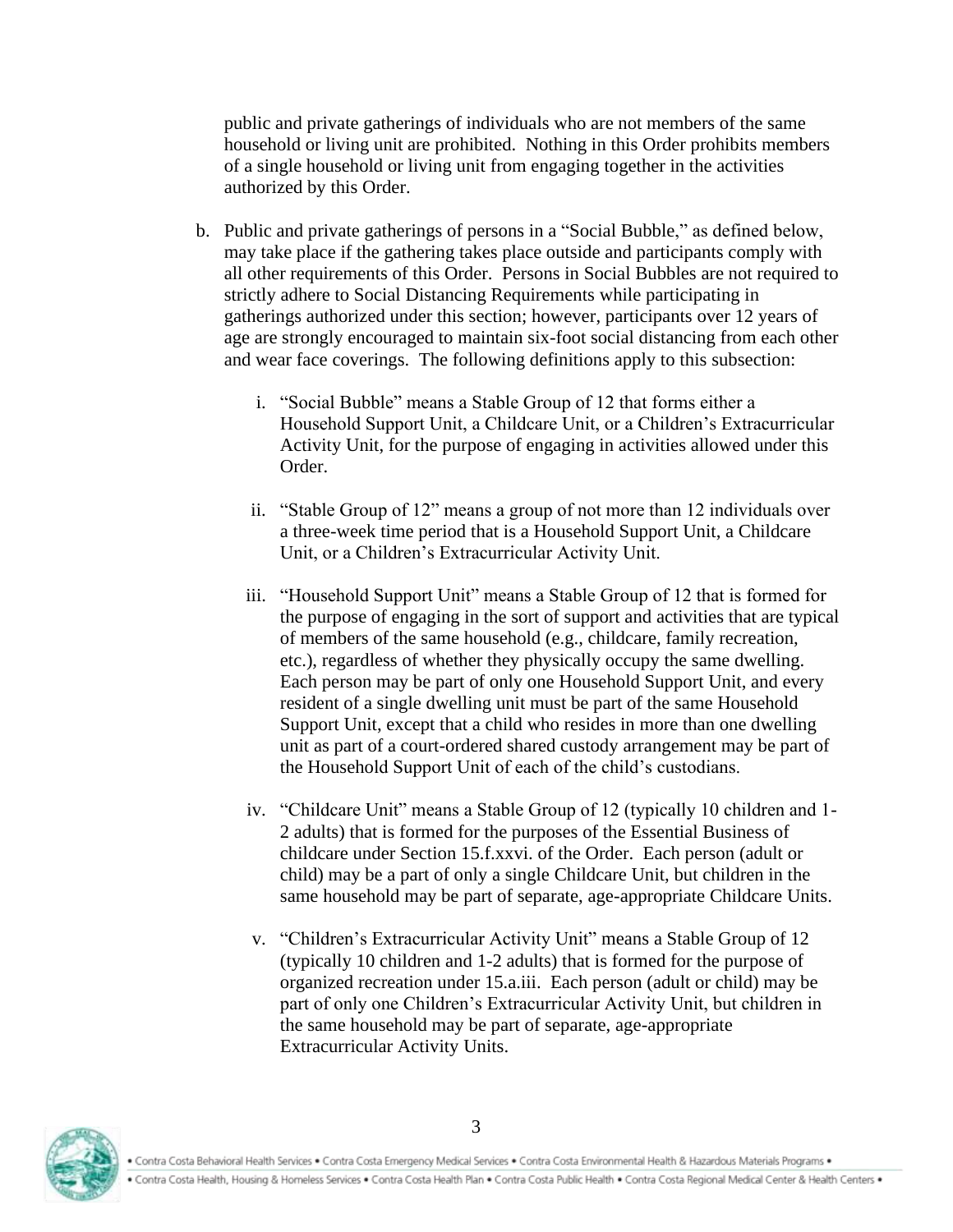public and private gatherings of individuals who are not members of the same household or living unit are prohibited. Nothing in this Order prohibits members of a single household or living unit from engaging together in the activities authorized by this Order.

- b. Public and private gatherings of persons in a "Social Bubble," as defined below, may take place if the gathering takes place outside and participants comply with all other requirements of this Order. Persons in Social Bubbles are not required to strictly adhere to Social Distancing Requirements while participating in gatherings authorized under this section; however, participants over 12 years of age are strongly encouraged to maintain six-foot social distancing from each other and wear face coverings. The following definitions apply to this subsection:
	- i. "Social Bubble" means a Stable Group of 12 that forms either a Household Support Unit, a Childcare Unit, or a Children's Extracurricular Activity Unit, for the purpose of engaging in activities allowed under this Order.
	- ii. "Stable Group of 12" means a group of not more than 12 individuals over a three-week time period that is a Household Support Unit, a Childcare Unit, or a Children's Extracurricular Activity Unit.
	- iii. "Household Support Unit" means a Stable Group of 12 that is formed for the purpose of engaging in the sort of support and activities that are typical of members of the same household (e.g., childcare, family recreation, etc.), regardless of whether they physically occupy the same dwelling. Each person may be part of only one Household Support Unit, and every resident of a single dwelling unit must be part of the same Household Support Unit, except that a child who resides in more than one dwelling unit as part of a court-ordered shared custody arrangement may be part of the Household Support Unit of each of the child's custodians.
	- iv. "Childcare Unit" means a Stable Group of 12 (typically 10 children and 1- 2 adults) that is formed for the purposes of the Essential Business of childcare under Section 15.f.xxvi. of the Order. Each person (adult or child) may be a part of only a single Childcare Unit, but children in the same household may be part of separate, age-appropriate Childcare Units.
	- v. "Children's Extracurricular Activity Unit" means a Stable Group of 12 (typically 10 children and 1-2 adults) that is formed for the purpose of organized recreation under 15.a.iii. Each person (adult or child) may be part of only one Children's Extracurricular Activity Unit, but children in the same household may be part of separate, age-appropriate Extracurricular Activity Units.

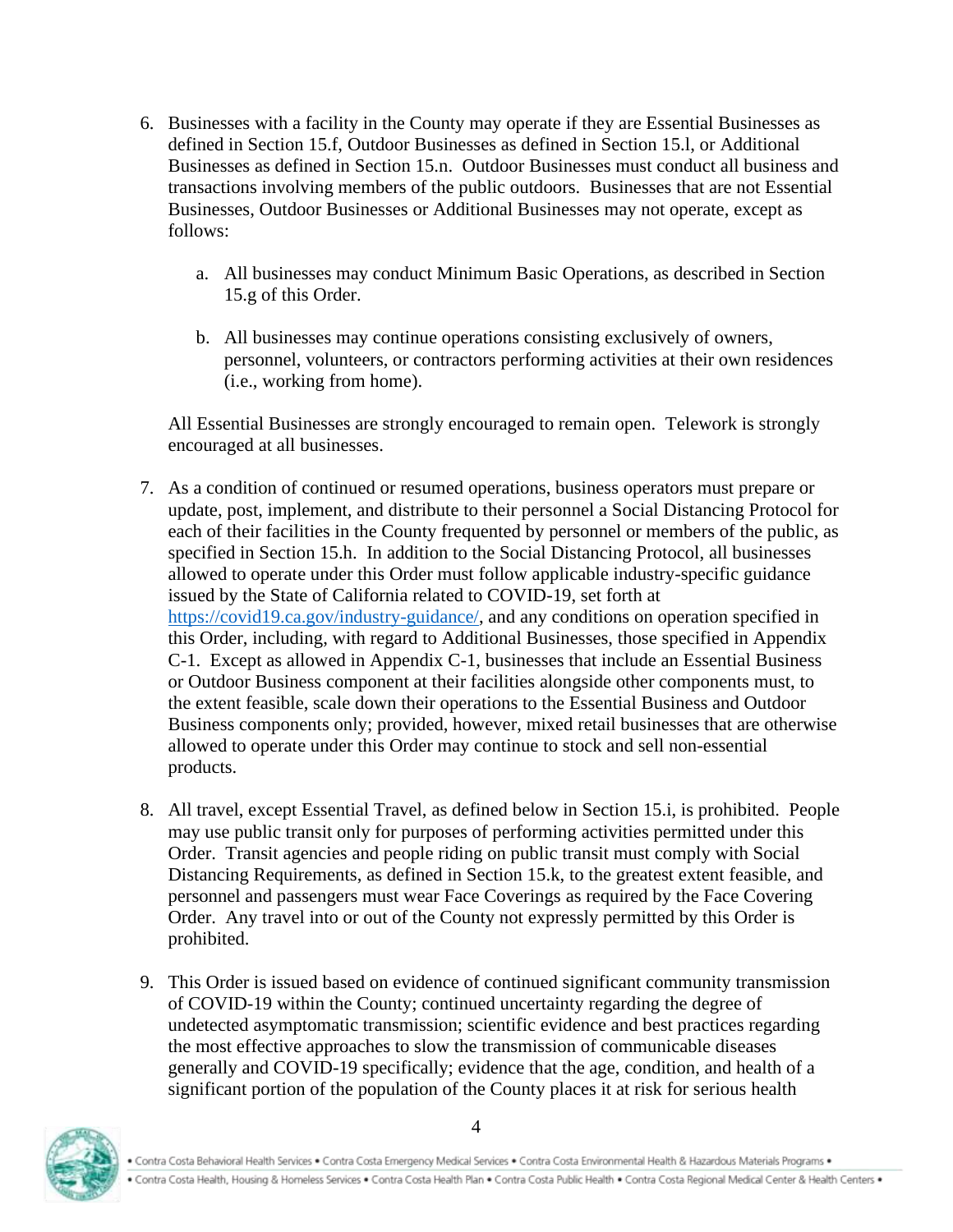- 6. Businesses with a facility in the County may operate if they are Essential Businesses as defined in Section 15.f, Outdoor Businesses as defined in Section 15.l, or Additional Businesses as defined in Section 15.n. Outdoor Businesses must conduct all business and transactions involving members of the public outdoors. Businesses that are not Essential Businesses, Outdoor Businesses or Additional Businesses may not operate, except as follows:
	- a. All businesses may conduct Minimum Basic Operations, as described in Section 15.g of this Order.
	- b. All businesses may continue operations consisting exclusively of owners, personnel, volunteers, or contractors performing activities at their own residences (i.e., working from home).

All Essential Businesses are strongly encouraged to remain open. Telework is strongly encouraged at all businesses.

- 7. As a condition of continued or resumed operations, business operators must prepare or update, post, implement, and distribute to their personnel a Social Distancing Protocol for each of their facilities in the County frequented by personnel or members of the public, as specified in Section 15.h. In addition to the Social Distancing Protocol, all businesses allowed to operate under this Order must follow applicable industry-specific guidance issued by the State of California related to COVID-19, set forth at [https://covid19.ca.gov/industry-guidance/,](https://gcc01.safelinks.protection.outlook.com/?url=https%3A%2F%2Fcovid19.ca.gov%2Findustry-guidance%2F&data=02%7C01%7CLinda.Wilcox%40cc.cccounty.us%7Ca48c35fac1ed49dd67a008d7f8217610%7C76c13a07612f4e06a2f4783d69dc4cdb%7C0%7C0%7C637250694912181762&sdata=p3ifeWS3RotN8Az9A5eMoezbscpBF1Q%2B52tA%2BKFYots%3D&reserved=0) and any conditions on operation specified in this Order, including, with regard to Additional Businesses, those specified in Appendix C-1. Except as allowed in Appendix C-1, businesses that include an Essential Business or Outdoor Business component at their facilities alongside other components must, to the extent feasible, scale down their operations to the Essential Business and Outdoor Business components only; provided, however, mixed retail businesses that are otherwise allowed to operate under this Order may continue to stock and sell non-essential products.
- 8. All travel, except Essential Travel, as defined below in Section 15.i, is prohibited. People may use public transit only for purposes of performing activities permitted under this Order. Transit agencies and people riding on public transit must comply with Social Distancing Requirements, as defined in Section 15.k, to the greatest extent feasible, and personnel and passengers must wear Face Coverings as required by the Face Covering Order. Any travel into or out of the County not expressly permitted by this Order is prohibited.
- 9. This Order is issued based on evidence of continued significant community transmission of COVID-19 within the County; continued uncertainty regarding the degree of undetected asymptomatic transmission; scientific evidence and best practices regarding the most effective approaches to slow the transmission of communicable diseases generally and COVID-19 specifically; evidence that the age, condition, and health of a significant portion of the population of the County places it at risk for serious health



. Contra Costa Behavioral Health Services . Contra Costa Emergency Medical Services . Contra Costa Environmental Health & Hazardous Materials Programs . . Contra Costa Health, Housing & Homeless Services . Contra Costa Health Plan . Contra Costa Public Health . Contra Costa Regional Medical Center & Health Centers .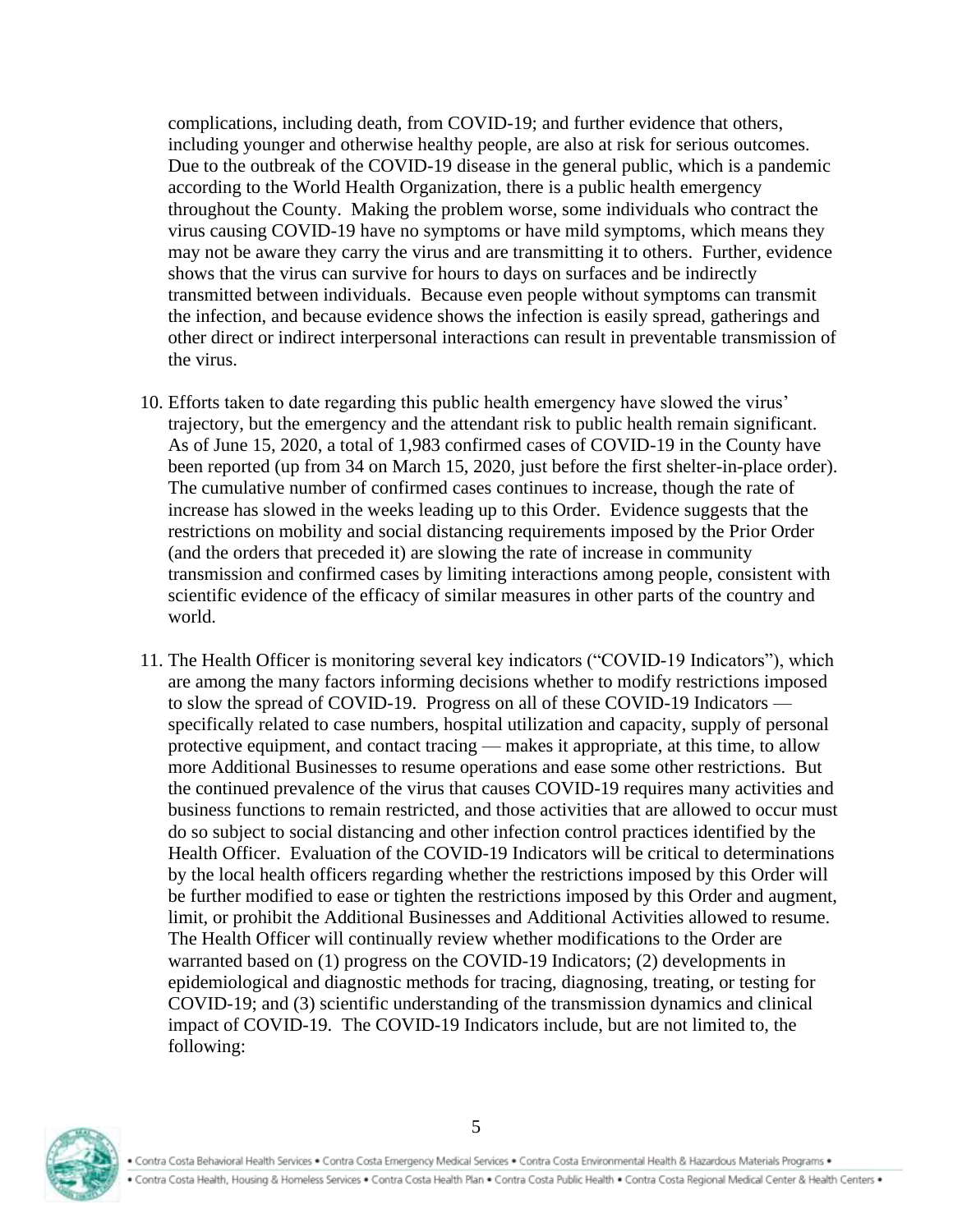complications, including death, from COVID-19; and further evidence that others, including younger and otherwise healthy people, are also at risk for serious outcomes. Due to the outbreak of the COVID-19 disease in the general public, which is a pandemic according to the World Health Organization, there is a public health emergency throughout the County. Making the problem worse, some individuals who contract the virus causing COVID-19 have no symptoms or have mild symptoms, which means they may not be aware they carry the virus and are transmitting it to others. Further, evidence shows that the virus can survive for hours to days on surfaces and be indirectly transmitted between individuals. Because even people without symptoms can transmit the infection, and because evidence shows the infection is easily spread, gatherings and other direct or indirect interpersonal interactions can result in preventable transmission of the virus.

- 10. Efforts taken to date regarding this public health emergency have slowed the virus' trajectory, but the emergency and the attendant risk to public health remain significant. As of June 15, 2020, a total of 1,983 confirmed cases of COVID-19 in the County have been reported (up from 34 on March 15, 2020, just before the first shelter-in-place order). The cumulative number of confirmed cases continues to increase, though the rate of increase has slowed in the weeks leading up to this Order. Evidence suggests that the restrictions on mobility and social distancing requirements imposed by the Prior Order (and the orders that preceded it) are slowing the rate of increase in community transmission and confirmed cases by limiting interactions among people, consistent with scientific evidence of the efficacy of similar measures in other parts of the country and world.
- 11. The Health Officer is monitoring several key indicators ("COVID-19 Indicators"), which are among the many factors informing decisions whether to modify restrictions imposed to slow the spread of COVID-19. Progress on all of these COVID-19 Indicators specifically related to case numbers, hospital utilization and capacity, supply of personal protective equipment, and contact tracing — makes it appropriate, at this time, to allow more Additional Businesses to resume operations and ease some other restrictions. But the continued prevalence of the virus that causes COVID-19 requires many activities and business functions to remain restricted, and those activities that are allowed to occur must do so subject to social distancing and other infection control practices identified by the Health Officer. Evaluation of the COVID-19 Indicators will be critical to determinations by the local health officers regarding whether the restrictions imposed by this Order will be further modified to ease or tighten the restrictions imposed by this Order and augment, limit, or prohibit the Additional Businesses and Additional Activities allowed to resume. The Health Officer will continually review whether modifications to the Order are warranted based on (1) progress on the COVID-19 Indicators; (2) developments in epidemiological and diagnostic methods for tracing, diagnosing, treating, or testing for COVID-19; and (3) scientific understanding of the transmission dynamics and clinical impact of COVID-19. The COVID-19 Indicators include, but are not limited to, the following:

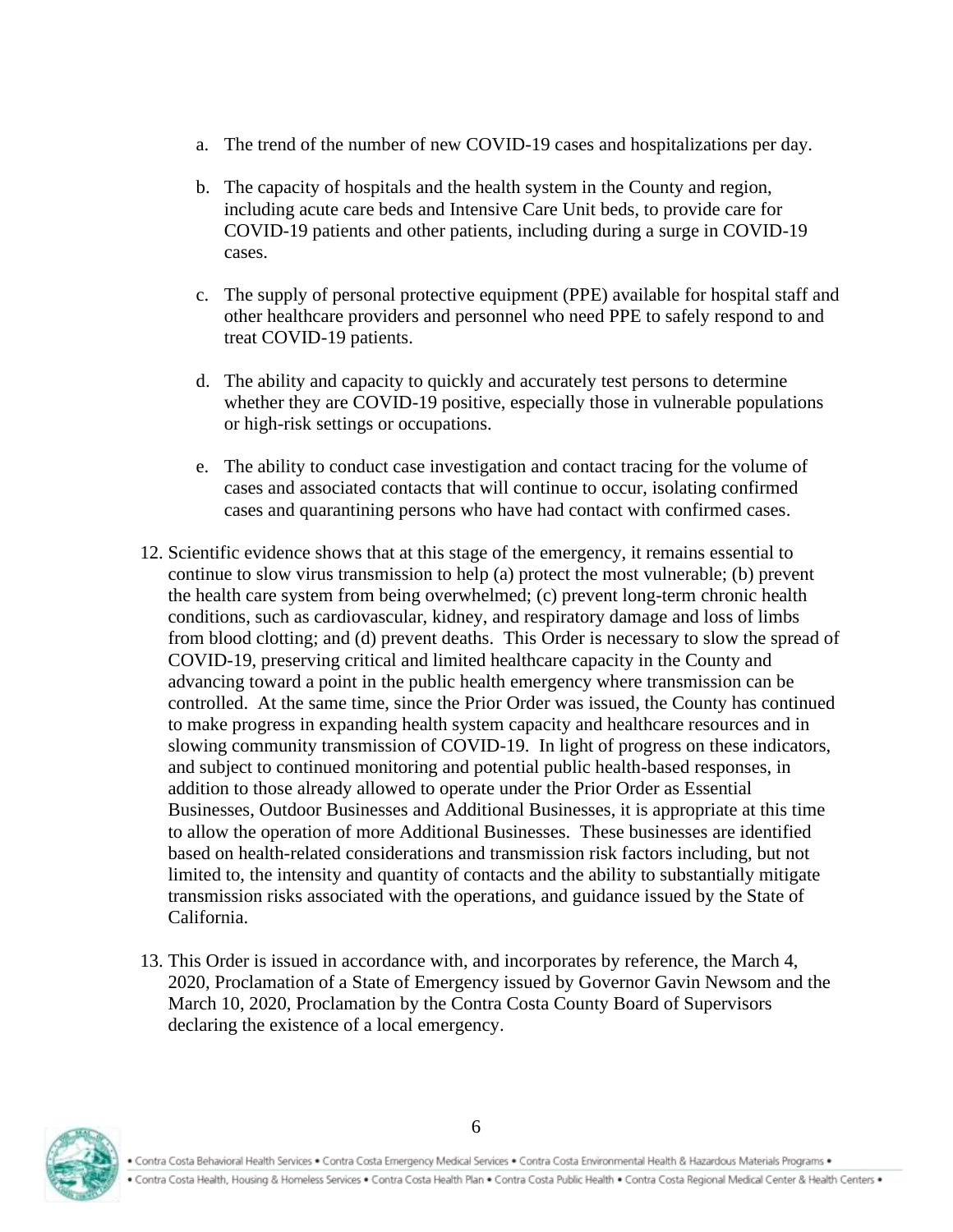- a. The trend of the number of new COVID-19 cases and hospitalizations per day.
- b. The capacity of hospitals and the health system in the County and region, including acute care beds and Intensive Care Unit beds, to provide care for COVID-19 patients and other patients, including during a surge in COVID-19 cases.
- c. The supply of personal protective equipment (PPE) available for hospital staff and other healthcare providers and personnel who need PPE to safely respond to and treat COVID-19 patients.
- d. The ability and capacity to quickly and accurately test persons to determine whether they are COVID-19 positive, especially those in vulnerable populations or high-risk settings or occupations.
- e. The ability to conduct case investigation and contact tracing for the volume of cases and associated contacts that will continue to occur, isolating confirmed cases and quarantining persons who have had contact with confirmed cases.
- 12. Scientific evidence shows that at this stage of the emergency, it remains essential to continue to slow virus transmission to help (a) protect the most vulnerable; (b) prevent the health care system from being overwhelmed; (c) prevent long-term chronic health conditions, such as cardiovascular, kidney, and respiratory damage and loss of limbs from blood clotting; and (d) prevent deaths. This Order is necessary to slow the spread of COVID-19, preserving critical and limited healthcare capacity in the County and advancing toward a point in the public health emergency where transmission can be controlled. At the same time, since the Prior Order was issued, the County has continued to make progress in expanding health system capacity and healthcare resources and in slowing community transmission of COVID-19. In light of progress on these indicators, and subject to continued monitoring and potential public health-based responses, in addition to those already allowed to operate under the Prior Order as Essential Businesses, Outdoor Businesses and Additional Businesses, it is appropriate at this time to allow the operation of more Additional Businesses. These businesses are identified based on health-related considerations and transmission risk factors including, but not limited to, the intensity and quantity of contacts and the ability to substantially mitigate transmission risks associated with the operations, and guidance issued by the State of California.
- 13. This Order is issued in accordance with, and incorporates by reference, the March 4, 2020, Proclamation of a State of Emergency issued by Governor Gavin Newsom and the March 10, 2020, Proclamation by the Contra Costa County Board of Supervisors declaring the existence of a local emergency.

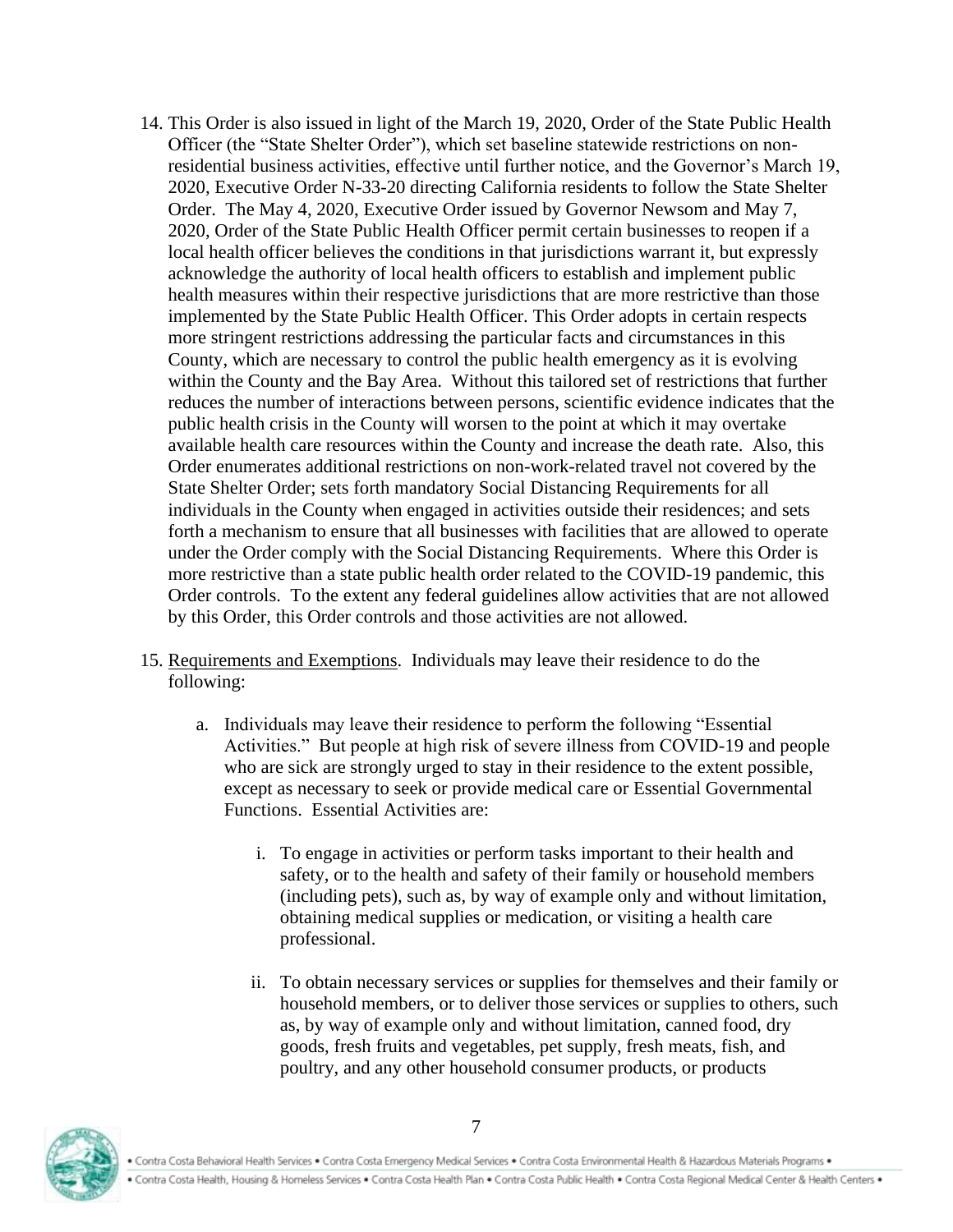- 14. This Order is also issued in light of the March 19, 2020, Order of the State Public Health Officer (the "State Shelter Order"), which set baseline statewide restrictions on nonresidential business activities, effective until further notice, and the Governor's March 19, 2020, Executive Order N-33-20 directing California residents to follow the State Shelter Order. The May 4, 2020, Executive Order issued by Governor Newsom and May 7, 2020, Order of the State Public Health Officer permit certain businesses to reopen if a local health officer believes the conditions in that jurisdictions warrant it, but expressly acknowledge the authority of local health officers to establish and implement public health measures within their respective jurisdictions that are more restrictive than those implemented by the State Public Health Officer. This Order adopts in certain respects more stringent restrictions addressing the particular facts and circumstances in this County, which are necessary to control the public health emergency as it is evolving within the County and the Bay Area. Without this tailored set of restrictions that further reduces the number of interactions between persons, scientific evidence indicates that the public health crisis in the County will worsen to the point at which it may overtake available health care resources within the County and increase the death rate. Also, this Order enumerates additional restrictions on non-work-related travel not covered by the State Shelter Order; sets forth mandatory Social Distancing Requirements for all individuals in the County when engaged in activities outside their residences; and sets forth a mechanism to ensure that all businesses with facilities that are allowed to operate under the Order comply with the Social Distancing Requirements. Where this Order is more restrictive than a state public health order related to the COVID-19 pandemic, this Order controls. To the extent any federal guidelines allow activities that are not allowed by this Order, this Order controls and those activities are not allowed.
- 15. Requirements and Exemptions. Individuals may leave their residence to do the following:
	- a. Individuals may leave their residence to perform the following "Essential Activities." But people at high risk of severe illness from COVID-19 and people who are sick are strongly urged to stay in their residence to the extent possible, except as necessary to seek or provide medical care or Essential Governmental Functions. Essential Activities are:
		- i. To engage in activities or perform tasks important to their health and safety, or to the health and safety of their family or household members (including pets), such as, by way of example only and without limitation, obtaining medical supplies or medication, or visiting a health care professional.
		- ii. To obtain necessary services or supplies for themselves and their family or household members, or to deliver those services or supplies to others, such as, by way of example only and without limitation, canned food, dry goods, fresh fruits and vegetables, pet supply, fresh meats, fish, and poultry, and any other household consumer products, or products

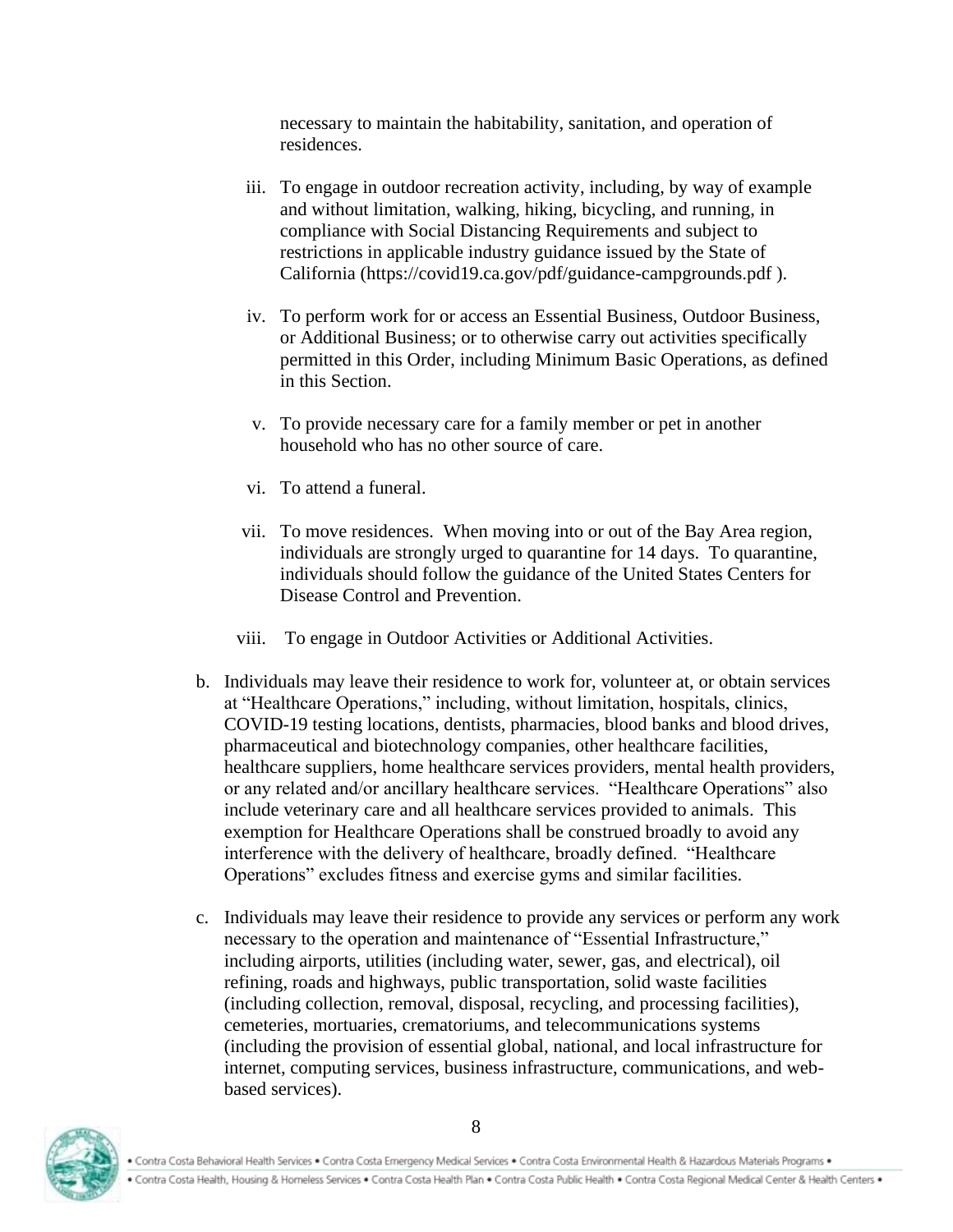necessary to maintain the habitability, sanitation, and operation of residences.

- iii. To engage in outdoor recreation activity, including, by way of example and without limitation, walking, hiking, bicycling, and running, in compliance with Social Distancing Requirements and subject to restrictions in applicable industry guidance issued by the State of California (https://covid19.ca.gov/pdf/guidance-campgrounds.pdf ).
- iv. To perform work for or access an Essential Business, Outdoor Business, or Additional Business; or to otherwise carry out activities specifically permitted in this Order, including Minimum Basic Operations, as defined in this Section.
- v. To provide necessary care for a family member or pet in another household who has no other source of care.
- vi. To attend a funeral.
- vii. To move residences. When moving into or out of the Bay Area region, individuals are strongly urged to quarantine for 14 days. To quarantine, individuals should follow the guidance of the United States Centers for Disease Control and Prevention.
- viii. To engage in Outdoor Activities or Additional Activities.
- b. Individuals may leave their residence to work for, volunteer at, or obtain services at "Healthcare Operations," including, without limitation, hospitals, clinics, COVID-19 testing locations, dentists, pharmacies, blood banks and blood drives, pharmaceutical and biotechnology companies, other healthcare facilities, healthcare suppliers, home healthcare services providers, mental health providers, or any related and/or ancillary healthcare services. "Healthcare Operations" also include veterinary care and all healthcare services provided to animals. This exemption for Healthcare Operations shall be construed broadly to avoid any interference with the delivery of healthcare, broadly defined. "Healthcare Operations" excludes fitness and exercise gyms and similar facilities.
- c. Individuals may leave their residence to provide any services or perform any work necessary to the operation and maintenance of "Essential Infrastructure," including airports, utilities (including water, sewer, gas, and electrical), oil refining, roads and highways, public transportation, solid waste facilities (including collection, removal, disposal, recycling, and processing facilities), cemeteries, mortuaries, crematoriums, and telecommunications systems (including the provision of essential global, national, and local infrastructure for internet, computing services, business infrastructure, communications, and webbased services).

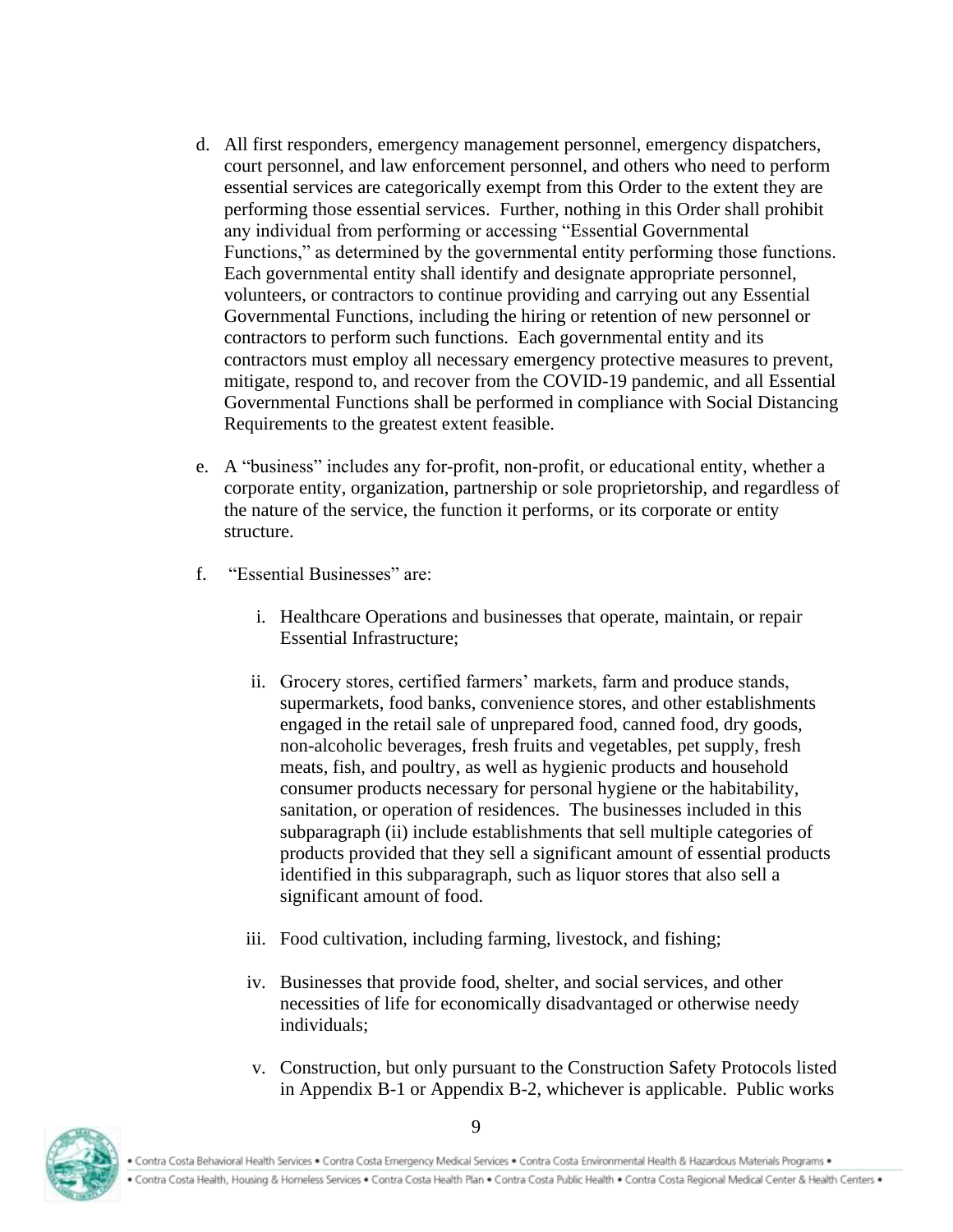- d. All first responders, emergency management personnel, emergency dispatchers, court personnel, and law enforcement personnel, and others who need to perform essential services are categorically exempt from this Order to the extent they are performing those essential services. Further, nothing in this Order shall prohibit any individual from performing or accessing "Essential Governmental Functions," as determined by the governmental entity performing those functions. Each governmental entity shall identify and designate appropriate personnel, volunteers, or contractors to continue providing and carrying out any Essential Governmental Functions, including the hiring or retention of new personnel or contractors to perform such functions. Each governmental entity and its contractors must employ all necessary emergency protective measures to prevent, mitigate, respond to, and recover from the COVID-19 pandemic, and all Essential Governmental Functions shall be performed in compliance with Social Distancing Requirements to the greatest extent feasible.
- e. A "business" includes any for-profit, non-profit, or educational entity, whether a corporate entity, organization, partnership or sole proprietorship, and regardless of the nature of the service, the function it performs, or its corporate or entity structure.
- f. "Essential Businesses" are:
	- i. Healthcare Operations and businesses that operate, maintain, or repair Essential Infrastructure;
	- ii. Grocery stores, certified farmers' markets, farm and produce stands, supermarkets, food banks, convenience stores, and other establishments engaged in the retail sale of unprepared food, canned food, dry goods, non-alcoholic beverages, fresh fruits and vegetables, pet supply, fresh meats, fish, and poultry, as well as hygienic products and household consumer products necessary for personal hygiene or the habitability, sanitation, or operation of residences. The businesses included in this subparagraph (ii) include establishments that sell multiple categories of products provided that they sell a significant amount of essential products identified in this subparagraph, such as liquor stores that also sell a significant amount of food.
	- iii. Food cultivation, including farming, livestock, and fishing;
	- iv. Businesses that provide food, shelter, and social services, and other necessities of life for economically disadvantaged or otherwise needy individuals;
	- v. Construction, but only pursuant to the Construction Safety Protocols listed in Appendix B-1 or Appendix B-2, whichever is applicable. Public works

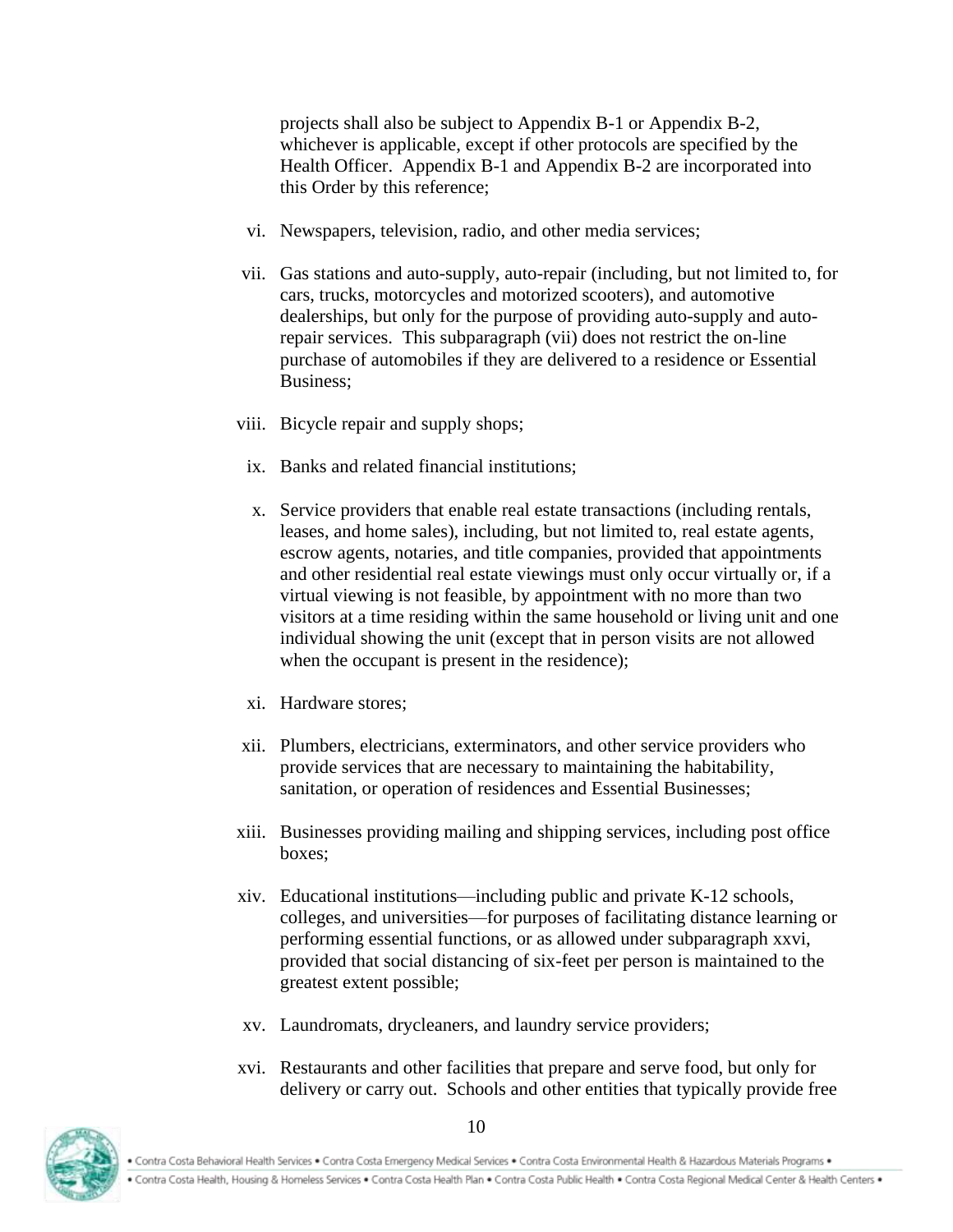projects shall also be subject to Appendix B-1 or Appendix B-2, whichever is applicable, except if other protocols are specified by the Health Officer. Appendix B-1 and Appendix B-2 are incorporated into this Order by this reference;

- vi. Newspapers, television, radio, and other media services;
- vii. Gas stations and auto-supply, auto-repair (including, but not limited to, for cars, trucks, motorcycles and motorized scooters), and automotive dealerships, but only for the purpose of providing auto-supply and autorepair services. This subparagraph (vii) does not restrict the on-line purchase of automobiles if they are delivered to a residence or Essential Business;
- viii. Bicycle repair and supply shops;
- ix. Banks and related financial institutions;
- x. Service providers that enable real estate transactions (including rentals, leases, and home sales), including, but not limited to, real estate agents, escrow agents, notaries, and title companies, provided that appointments and other residential real estate viewings must only occur virtually or, if a virtual viewing is not feasible, by appointment with no more than two visitors at a time residing within the same household or living unit and one individual showing the unit (except that in person visits are not allowed when the occupant is present in the residence);
- xi. Hardware stores;
- xii. Plumbers, electricians, exterminators, and other service providers who provide services that are necessary to maintaining the habitability, sanitation, or operation of residences and Essential Businesses;
- xiii. Businesses providing mailing and shipping services, including post office boxes;
- xiv. Educational institutions—including public and private K-12 schools, colleges, and universities—for purposes of facilitating distance learning or performing essential functions, or as allowed under subparagraph xxvi, provided that social distancing of six-feet per person is maintained to the greatest extent possible;
- xv. Laundromats, drycleaners, and laundry service providers;
- xvi. Restaurants and other facilities that prepare and serve food, but only for delivery or carry out. Schools and other entities that typically provide free

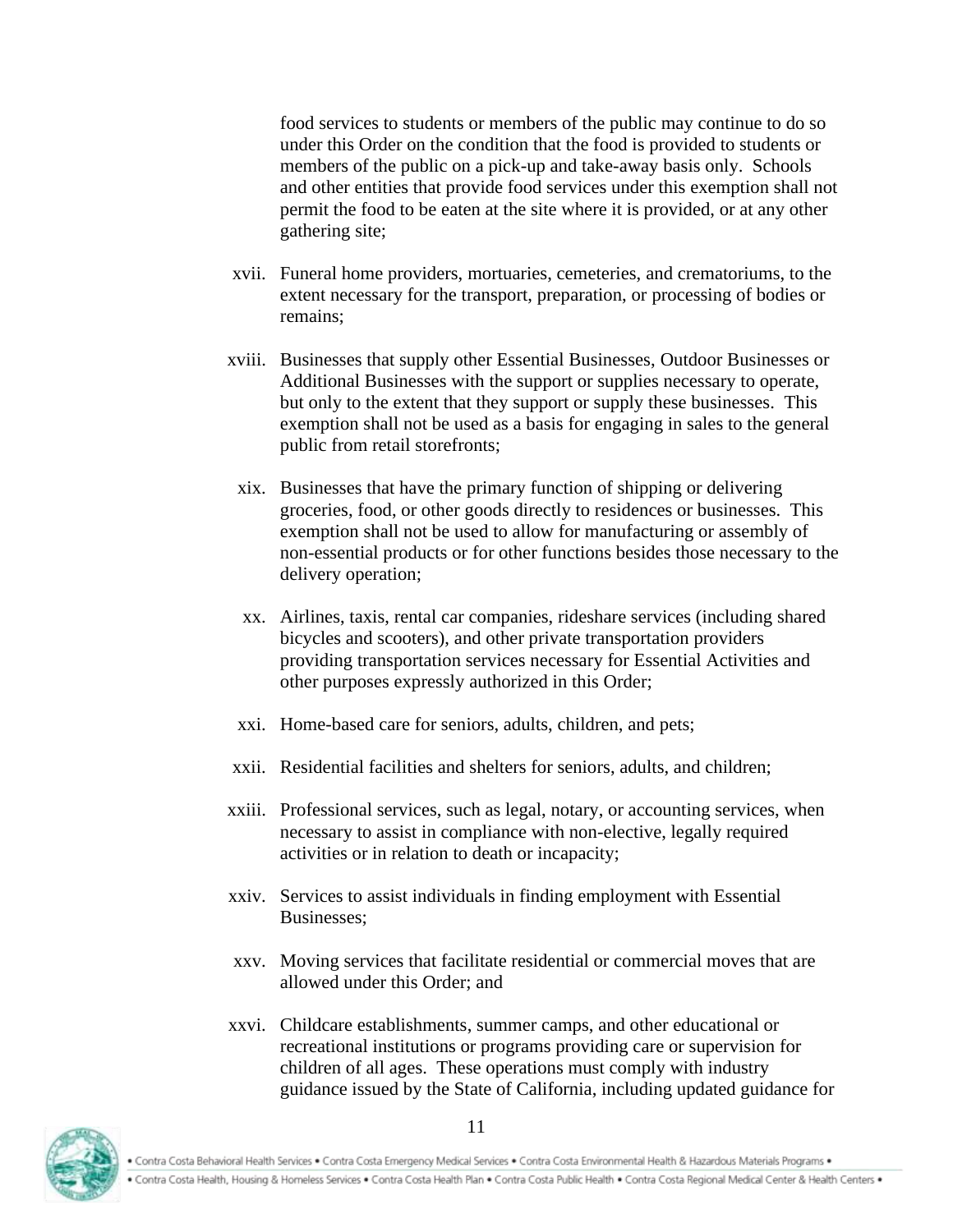food services to students or members of the public may continue to do so under this Order on the condition that the food is provided to students or members of the public on a pick-up and take-away basis only. Schools and other entities that provide food services under this exemption shall not permit the food to be eaten at the site where it is provided, or at any other gathering site;

- xvii. Funeral home providers, mortuaries, cemeteries, and crematoriums, to the extent necessary for the transport, preparation, or processing of bodies or remains;
- xviii. Businesses that supply other Essential Businesses, Outdoor Businesses or Additional Businesses with the support or supplies necessary to operate, but only to the extent that they support or supply these businesses. This exemption shall not be used as a basis for engaging in sales to the general public from retail storefronts;
- xix. Businesses that have the primary function of shipping or delivering groceries, food, or other goods directly to residences or businesses. This exemption shall not be used to allow for manufacturing or assembly of non-essential products or for other functions besides those necessary to the delivery operation;
- xx. Airlines, taxis, rental car companies, rideshare services (including shared bicycles and scooters), and other private transportation providers providing transportation services necessary for Essential Activities and other purposes expressly authorized in this Order;
- xxi. Home-based care for seniors, adults, children, and pets;
- xxii. Residential facilities and shelters for seniors, adults, and children;
- xxiii. Professional services, such as legal, notary, or accounting services, when necessary to assist in compliance with non-elective, legally required activities or in relation to death or incapacity;
- xxiv. Services to assist individuals in finding employment with Essential Businesses;
- xxv. Moving services that facilitate residential or commercial moves that are allowed under this Order; and
- xxvi. Childcare establishments, summer camps, and other educational or recreational institutions or programs providing care or supervision for children of all ages. These operations must comply with industry guidance issued by the State of California, including updated guidance for

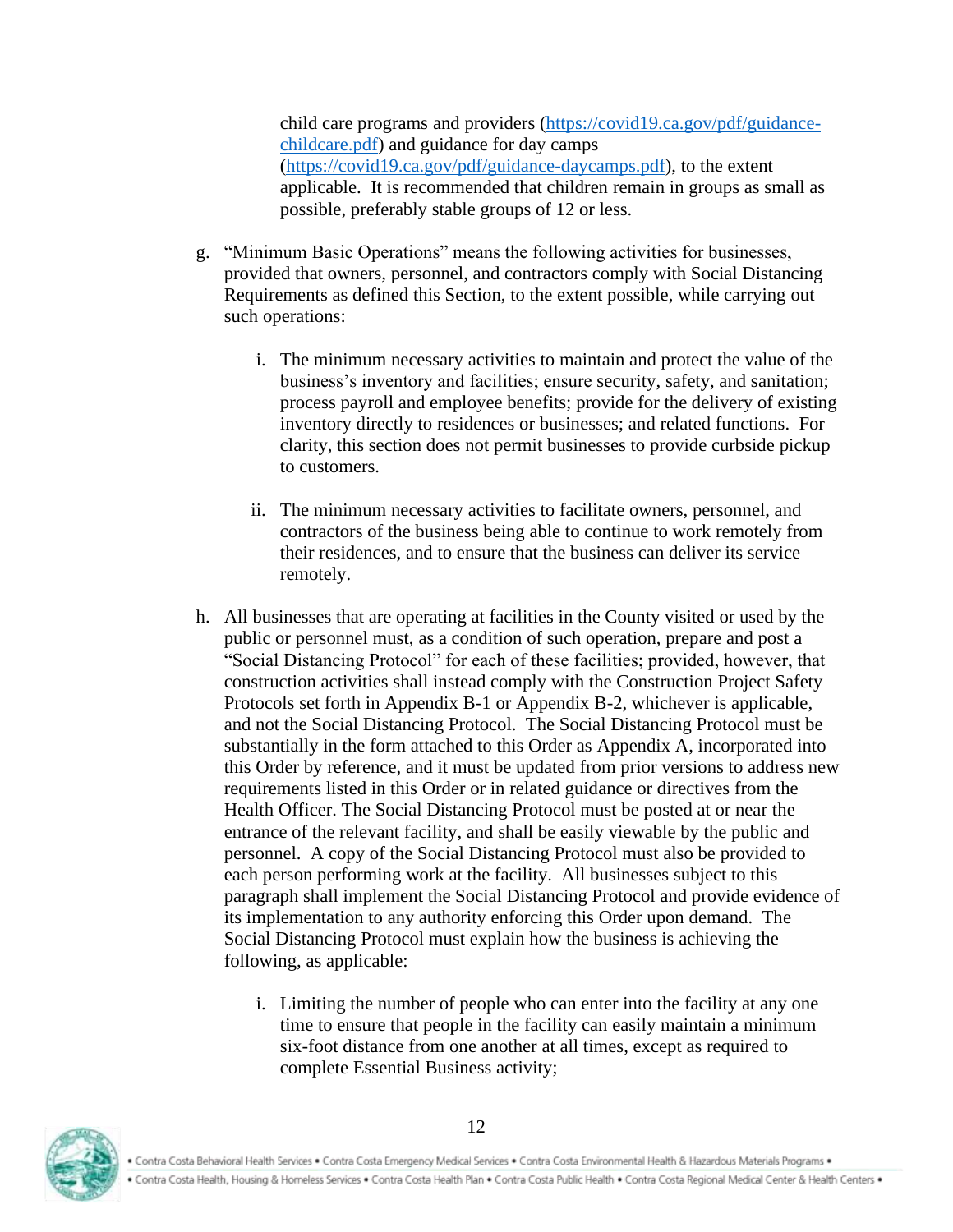child care programs and providers [\(https://covid19.ca.gov/pdf/guidance](https://covid19.ca.gov/pdf/guidance-childcare.pdf)[childcare.pdf\)](https://covid19.ca.gov/pdf/guidance-childcare.pdf) and guidance for day camps [\(https://covid19.ca.gov/pdf/guidance-daycamps.pdf\)](https://covid19.ca.gov/pdf/guidance-daycamps.pdf), to the extent applicable. It is recommended that children remain in groups as small as possible, preferably stable groups of 12 or less.

- g. "Minimum Basic Operations" means the following activities for businesses, provided that owners, personnel, and contractors comply with Social Distancing Requirements as defined this Section, to the extent possible, while carrying out such operations:
	- i. The minimum necessary activities to maintain and protect the value of the business's inventory and facilities; ensure security, safety, and sanitation; process payroll and employee benefits; provide for the delivery of existing inventory directly to residences or businesses; and related functions. For clarity, this section does not permit businesses to provide curbside pickup to customers.
	- ii. The minimum necessary activities to facilitate owners, personnel, and contractors of the business being able to continue to work remotely from their residences, and to ensure that the business can deliver its service remotely.
- h. All businesses that are operating at facilities in the County visited or used by the public or personnel must, as a condition of such operation, prepare and post a "Social Distancing Protocol" for each of these facilities; provided, however, that construction activities shall instead comply with the Construction Project Safety Protocols set forth in Appendix B-1 or Appendix B-2, whichever is applicable, and not the Social Distancing Protocol. The Social Distancing Protocol must be substantially in the form attached to this Order as Appendix A, incorporated into this Order by reference, and it must be updated from prior versions to address new requirements listed in this Order or in related guidance or directives from the Health Officer. The Social Distancing Protocol must be posted at or near the entrance of the relevant facility, and shall be easily viewable by the public and personnel. A copy of the Social Distancing Protocol must also be provided to each person performing work at the facility. All businesses subject to this paragraph shall implement the Social Distancing Protocol and provide evidence of its implementation to any authority enforcing this Order upon demand. The Social Distancing Protocol must explain how the business is achieving the following, as applicable:
	- i. Limiting the number of people who can enter into the facility at any one time to ensure that people in the facility can easily maintain a minimum six-foot distance from one another at all times, except as required to complete Essential Business activity;

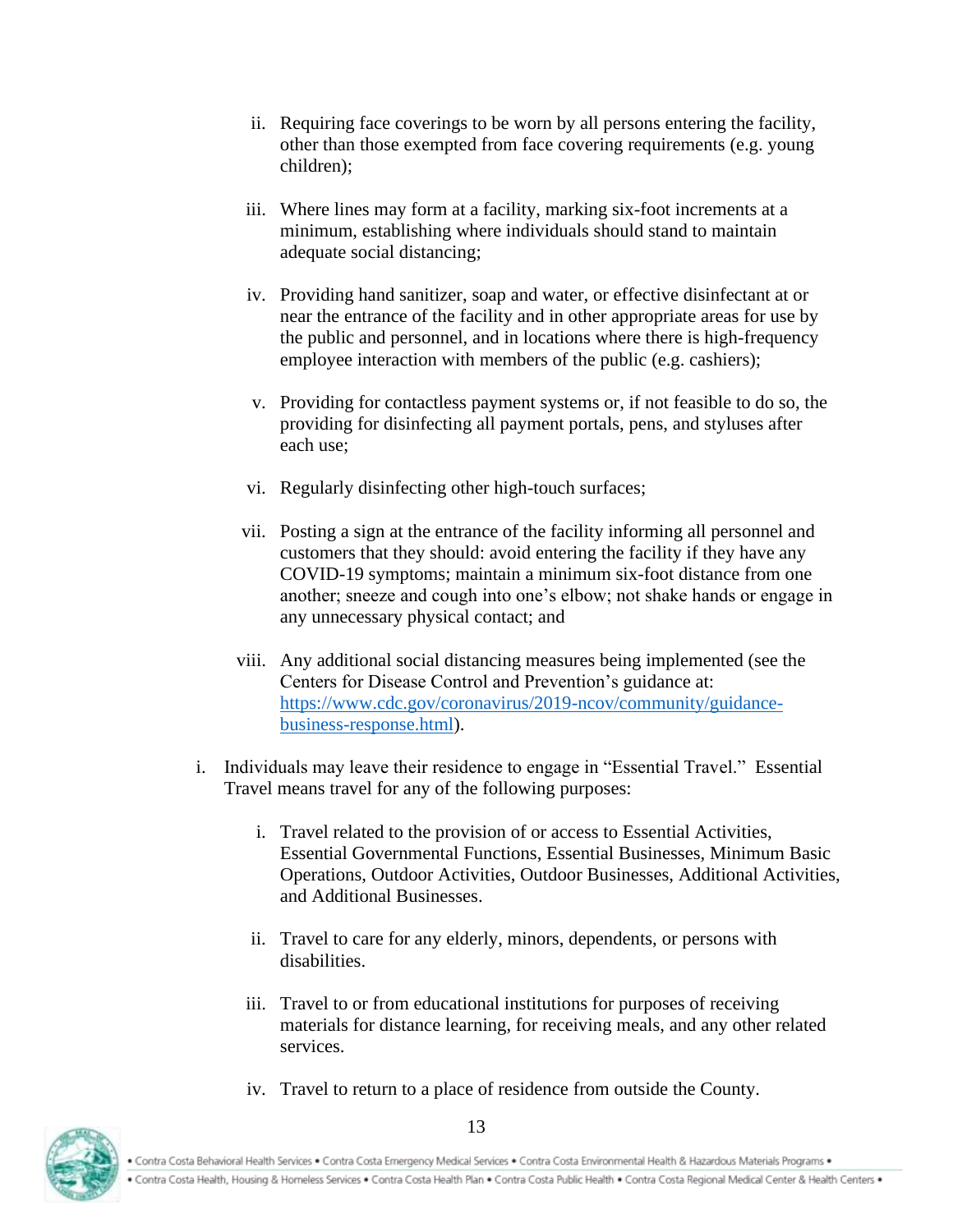- ii. Requiring face coverings to be worn by all persons entering the facility, other than those exempted from face covering requirements (e.g. young children);
- iii. Where lines may form at a facility, marking six-foot increments at a minimum, establishing where individuals should stand to maintain adequate social distancing;
- iv. Providing hand sanitizer, soap and water, or effective disinfectant at or near the entrance of the facility and in other appropriate areas for use by the public and personnel, and in locations where there is high-frequency employee interaction with members of the public (e.g. cashiers);
- v. Providing for contactless payment systems or, if not feasible to do so, the providing for disinfecting all payment portals, pens, and styluses after each use;
- vi. Regularly disinfecting other high-touch surfaces;
- vii. Posting a sign at the entrance of the facility informing all personnel and customers that they should: avoid entering the facility if they have any COVID-19 symptoms; maintain a minimum six-foot distance from one another; sneeze and cough into one's elbow; not shake hands or engage in any unnecessary physical contact; and
- viii. Any additional social distancing measures being implemented (see the Centers for Disease Control and Prevention's guidance at: [https://www.cdc.gov/coronavirus/2019-ncov/community/guidance](https://urldefense.proofpoint.com/v2/url?u=https-3A__www.cdc.gov_coronavirus_2019-2Dncov_community_guidance-2Dbusiness-2Dresponse.html&d=DwMFAw&c=jIuf2QGe13CVwCCNhnnHSyGX0TfHadH8sr2VwRkl7n8&r=ngkLopuMRZUOqEIlIlHX3zVLl4AZMj7V3rWqAE9UGqQ&m=Qer8m3QWIWOVAJdc_vNH--0HKkNvhAMe3lrb0WmOdBI&s=DyfmdZVnfn5xjeIVMnDZJxkHd-kHAhoUnoNIl0WHytw&e=)[business-response.html\)](https://urldefense.proofpoint.com/v2/url?u=https-3A__www.cdc.gov_coronavirus_2019-2Dncov_community_guidance-2Dbusiness-2Dresponse.html&d=DwMFAw&c=jIuf2QGe13CVwCCNhnnHSyGX0TfHadH8sr2VwRkl7n8&r=ngkLopuMRZUOqEIlIlHX3zVLl4AZMj7V3rWqAE9UGqQ&m=Qer8m3QWIWOVAJdc_vNH--0HKkNvhAMe3lrb0WmOdBI&s=DyfmdZVnfn5xjeIVMnDZJxkHd-kHAhoUnoNIl0WHytw&e=).
- i. Individuals may leave their residence to engage in "Essential Travel." Essential Travel means travel for any of the following purposes:
	- i. Travel related to the provision of or access to Essential Activities, Essential Governmental Functions, Essential Businesses, Minimum Basic Operations, Outdoor Activities, Outdoor Businesses, Additional Activities, and Additional Businesses.
	- ii. Travel to care for any elderly, minors, dependents, or persons with disabilities.
	- iii. Travel to or from educational institutions for purposes of receiving materials for distance learning, for receiving meals, and any other related services.
	- iv. Travel to return to a place of residence from outside the County.

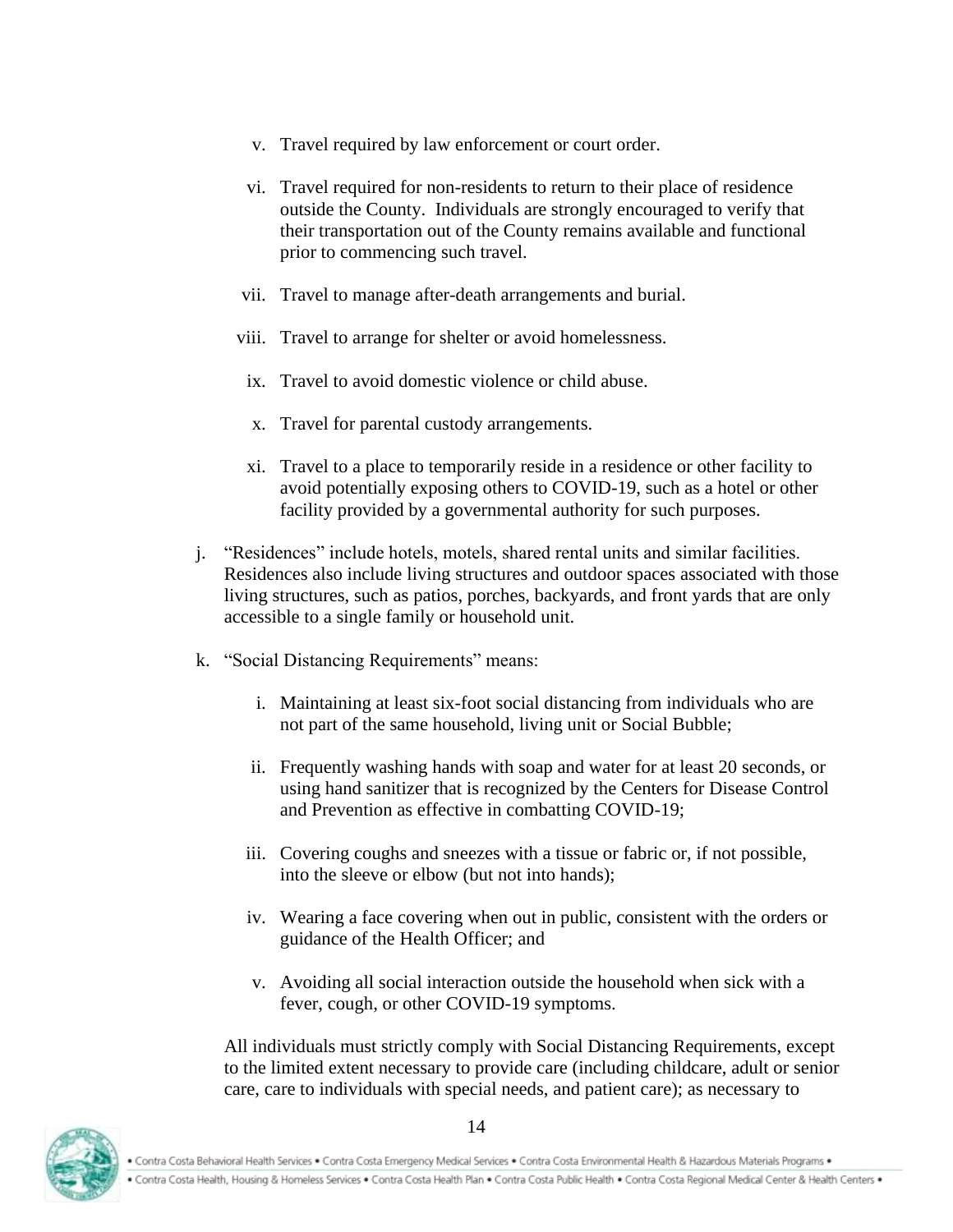- v. Travel required by law enforcement or court order.
- vi. Travel required for non-residents to return to their place of residence outside the County. Individuals are strongly encouraged to verify that their transportation out of the County remains available and functional prior to commencing such travel.
- vii. Travel to manage after-death arrangements and burial.
- viii. Travel to arrange for shelter or avoid homelessness.
- ix. Travel to avoid domestic violence or child abuse.
- x. Travel for parental custody arrangements.
- xi. Travel to a place to temporarily reside in a residence or other facility to avoid potentially exposing others to COVID-19, such as a hotel or other facility provided by a governmental authority for such purposes.
- j. "Residences" include hotels, motels, shared rental units and similar facilities. Residences also include living structures and outdoor spaces associated with those living structures, such as patios, porches, backyards, and front yards that are only accessible to a single family or household unit.
- k. "Social Distancing Requirements" means:
	- i. Maintaining at least six-foot social distancing from individuals who are not part of the same household, living unit or Social Bubble;
	- ii. Frequently washing hands with soap and water for at least 20 seconds, or using hand sanitizer that is recognized by the Centers for Disease Control and Prevention as effective in combatting COVID-19;
	- iii. Covering coughs and sneezes with a tissue or fabric or, if not possible, into the sleeve or elbow (but not into hands);
	- iv. Wearing a face covering when out in public, consistent with the orders or guidance of the Health Officer; and
	- v. Avoiding all social interaction outside the household when sick with a fever, cough, or other COVID-19 symptoms.

All individuals must strictly comply with Social Distancing Requirements, except to the limited extent necessary to provide care (including childcare, adult or senior care, care to individuals with special needs, and patient care); as necessary to

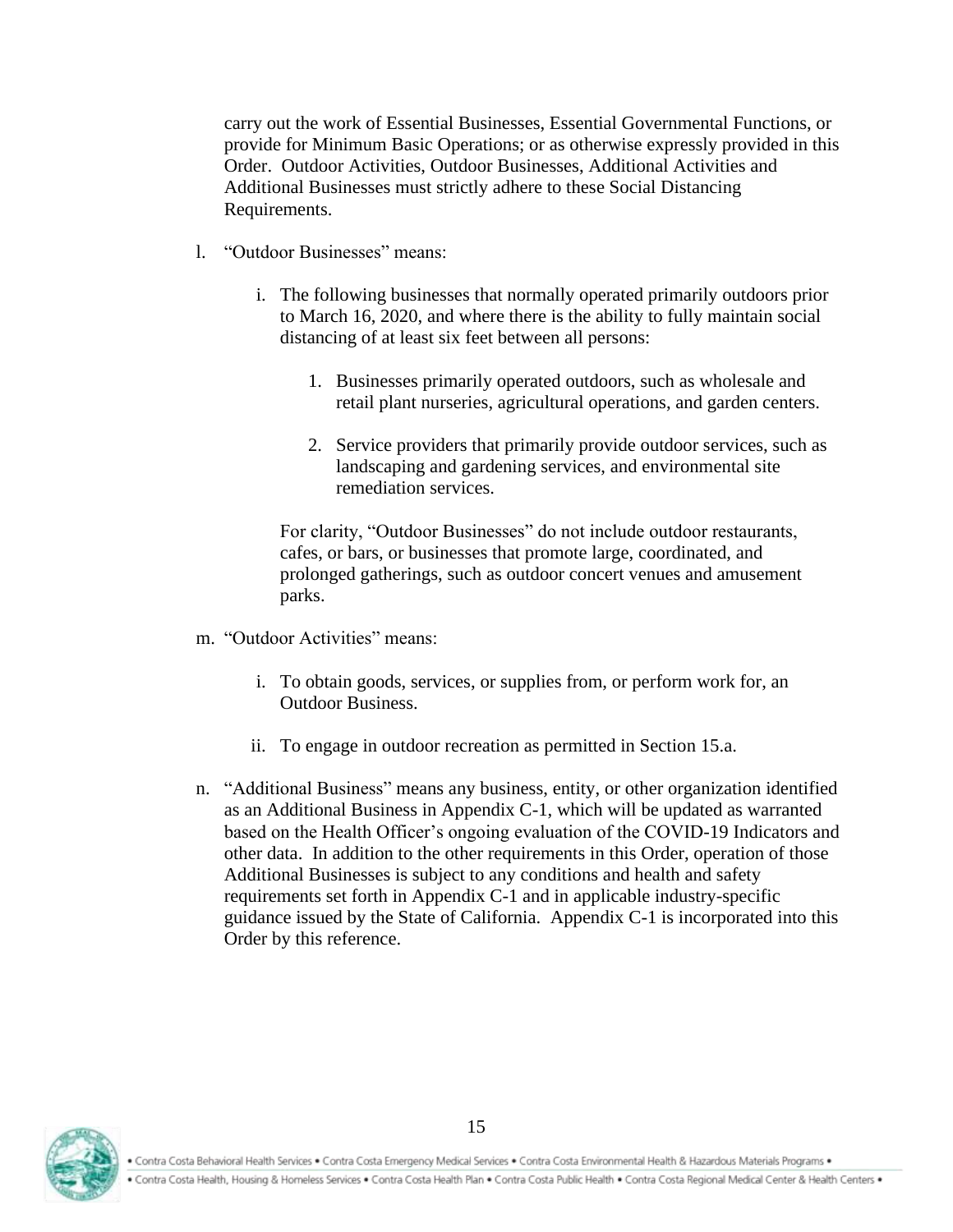carry out the work of Essential Businesses, Essential Governmental Functions, or provide for Minimum Basic Operations; or as otherwise expressly provided in this Order. Outdoor Activities, Outdoor Businesses, Additional Activities and Additional Businesses must strictly adhere to these Social Distancing Requirements.

- l. "Outdoor Businesses" means:
	- i. The following businesses that normally operated primarily outdoors prior to March 16, 2020, and where there is the ability to fully maintain social distancing of at least six feet between all persons:
		- 1. Businesses primarily operated outdoors, such as wholesale and retail plant nurseries, agricultural operations, and garden centers.
		- 2. Service providers that primarily provide outdoor services, such as landscaping and gardening services, and environmental site remediation services.

For clarity, "Outdoor Businesses" do not include outdoor restaurants, cafes, or bars, or businesses that promote large, coordinated, and prolonged gatherings, such as outdoor concert venues and amusement parks.

- m. "Outdoor Activities" means:
	- i. To obtain goods, services, or supplies from, or perform work for, an Outdoor Business.
	- ii. To engage in outdoor recreation as permitted in Section 15.a.
- n. "Additional Business" means any business, entity, or other organization identified as an Additional Business in Appendix C-1, which will be updated as warranted based on the Health Officer's ongoing evaluation of the COVID-19 Indicators and other data. In addition to the other requirements in this Order, operation of those Additional Businesses is subject to any conditions and health and safety requirements set forth in Appendix C-1 and in applicable industry-specific guidance issued by the State of California. Appendix C-1 is incorporated into this Order by this reference.



. Contra Costa Behavioral Health Services . Contra Costa Emergency Medical Services . Contra Costa Environmental Health & Hazardous Materials Programs .

. Contra Costa Health, Housing & Homeless Services . Contra Costa Health Plan . Contra Costa Public Health . Contra Costa Regional Medical Center & Health Centers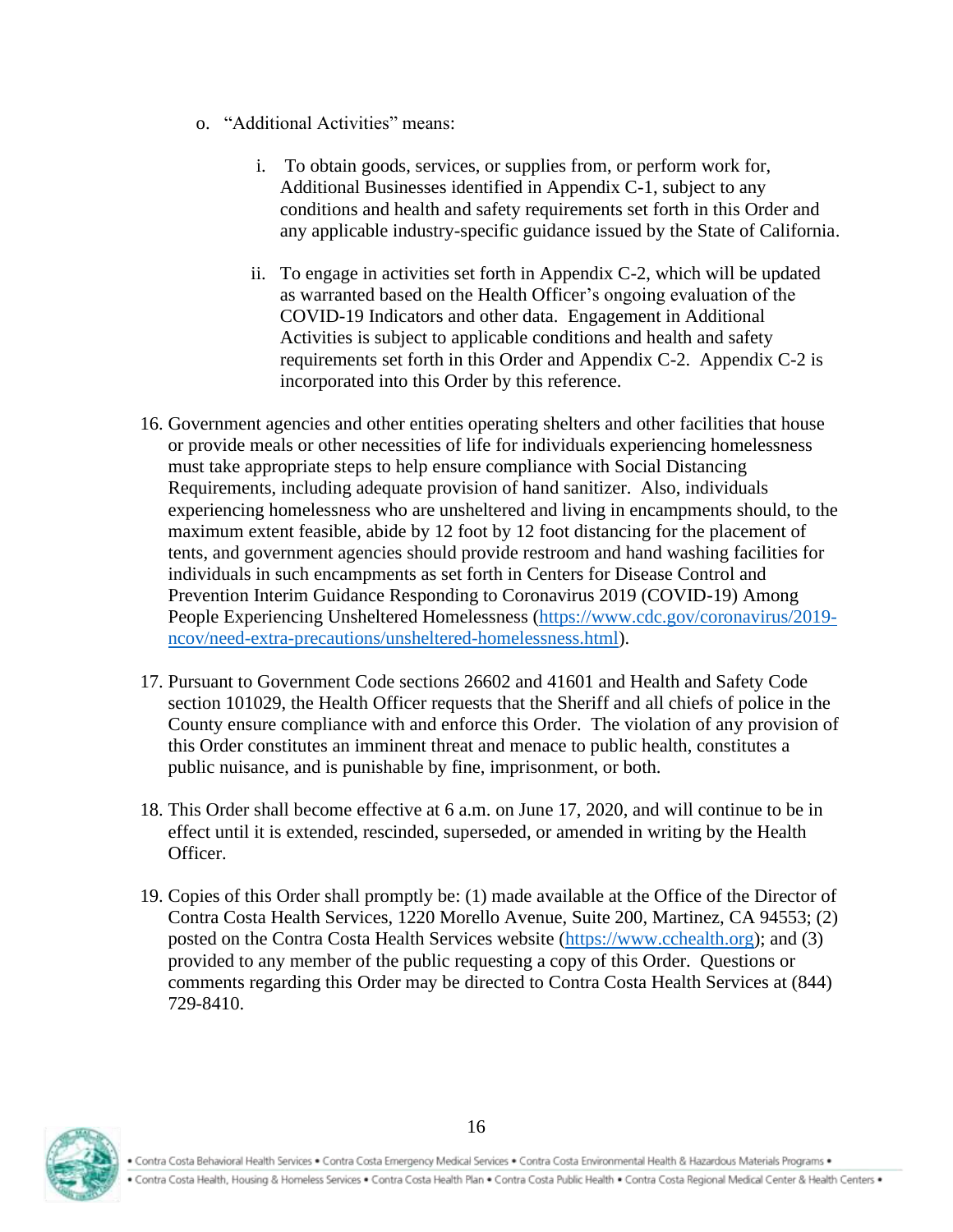- o. "Additional Activities" means:
	- i. To obtain goods, services, or supplies from, or perform work for, Additional Businesses identified in Appendix C-1, subject to any conditions and health and safety requirements set forth in this Order and any applicable industry-specific guidance issued by the State of California.
	- ii. To engage in activities set forth in Appendix C-2, which will be updated as warranted based on the Health Officer's ongoing evaluation of the COVID-19 Indicators and other data. Engagement in Additional Activities is subject to applicable conditions and health and safety requirements set forth in this Order and Appendix C-2. Appendix C-2 is incorporated into this Order by this reference.
- 16. Government agencies and other entities operating shelters and other facilities that house or provide meals or other necessities of life for individuals experiencing homelessness must take appropriate steps to help ensure compliance with Social Distancing Requirements, including adequate provision of hand sanitizer. Also, individuals experiencing homelessness who are unsheltered and living in encampments should, to the maximum extent feasible, abide by 12 foot by 12 foot distancing for the placement of tents, and government agencies should provide restroom and hand washing facilities for individuals in such encampments as set forth in Centers for Disease Control and Prevention Interim Guidance Responding to Coronavirus 2019 (COVID-19) Among People Experiencing Unsheltered Homelessness [\(https://www.cdc.gov/coronavirus/2019](https://www.cdc.gov/coronavirus/2019-ncov/need-extra-precautions/unsheltered-homelessness.html) [ncov/need-extra-precautions/unsheltered-homelessness.html\)](https://www.cdc.gov/coronavirus/2019-ncov/need-extra-precautions/unsheltered-homelessness.html).
- 17. Pursuant to Government Code sections 26602 and 41601 and Health and Safety Code section 101029, the Health Officer requests that the Sheriff and all chiefs of police in the County ensure compliance with and enforce this Order. The violation of any provision of this Order constitutes an imminent threat and menace to public health, constitutes a public nuisance, and is punishable by fine, imprisonment, or both.
- 18. This Order shall become effective at 6 a.m. on June 17, 2020, and will continue to be in effect until it is extended, rescinded, superseded, or amended in writing by the Health Officer.
- 19. Copies of this Order shall promptly be: (1) made available at the Office of the Director of Contra Costa Health Services, 1220 Morello Avenue, Suite 200, Martinez, CA 94553; (2) posted on the Contra Costa Health Services website [\(https://www.cchealth.org\)](https://www.cchealth.org/); and (3) provided to any member of the public requesting a copy of this Order. Questions or comments regarding this Order may be directed to Contra Costa Health Services at (844) 729-8410.



. Contra Costa Health, Housing & Homeless Services . Contra Costa Health Plan . Contra Costa Public Health . Contra Costa Regional Medical Center & Health Centers